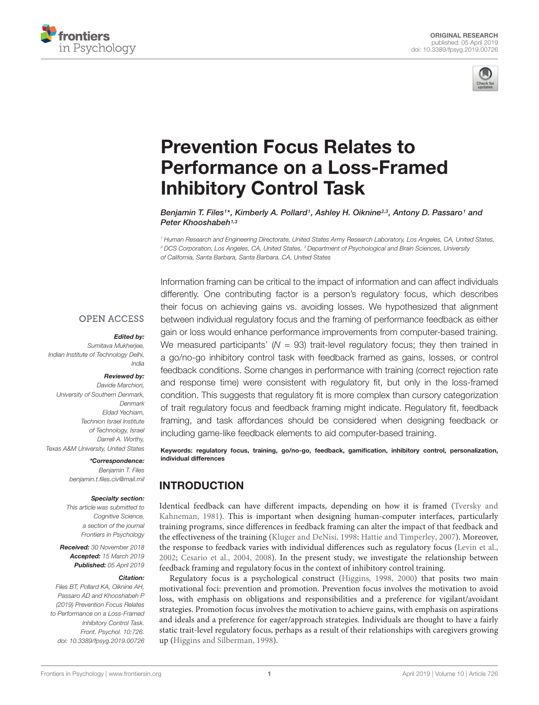



# Prevention Focus Relates to [Performance on a Loss-Framed](https://www.frontiersin.org/articles/10.3389/fpsyg.2019.00726/full) Inhibitory Control Task

[Benjamin T. Files](http://loop.frontiersin.org/people/650817/overview)1\*, [Kimberly A. Pollard](http://loop.frontiersin.org/people/217414/overview)1, [Ashley H. Oiknine](http://loop.frontiersin.org/people/708697/overview)<sup>2,3</sup>, Antony D. Passaro1 and [Peter Khooshabeh](http://loop.frontiersin.org/people/463799/overview)<sup>1,3</sup>

<sup>1</sup> Human Research and Engineering Directorate, United States Army Research Laboratory, Los Angeles, CA, United States, <sup>2</sup> DCS Corporation, Los Angeles, CA, United States, <sup>3</sup> Department of Psychological and Brain Sciences, University of California, Santa Barbara, Santa Barbara, CA, United States

## **OPEN ACCESS**

#### Edited by:

Sumitava Mukherjee, Indian Institute of Technology Delhi, India

#### Reviewed by:

Davide Marchiori, University of Southern Denmark, Denmark Eldad Yechiam, Technion Israel Institute of Technology, Israel Darrell A. Worthy, Texas A&M University, United States

#### \*Correspondence:

Benjamin T. Files benjamin.t.files.civ@mail.mil

#### Specialty section:

This article was submitted to Cognitive Science, a section of the journal Frontiers in Psychology

Received: 30 November 2018 Accepted: 15 March 2019 Published: 05 April 2019

#### Citation:

Files BT, Pollard KA, Oiknine AH, Passaro AD and Khooshabeh P (2019) Prevention Focus Relates to Performance on a Loss-Framed Inhibitory Control Task. Front. Psychol. 10:726. doi: [10.3389/fpsyg.2019.00726](https://doi.org/10.3389/fpsyg.2019.00726) Information framing can be critical to the impact of information and can affect individuals differently. One contributing factor is a person's regulatory focus, which describes their focus on achieving gains vs. avoiding losses. We hypothesized that alignment between individual regulatory focus and the framing of performance feedback as either gain or loss would enhance performance improvements from computer-based training. We measured participants'  $(N = 93)$  trait-level regulatory focus; they then trained in a go/no-go inhibitory control task with feedback framed as gains, losses, or control feedback conditions. Some changes in performance with training (correct rejection rate and response time) were consistent with regulatory fit, but only in the loss-framed condition. This suggests that regulatory fit is more complex than cursory categorization of trait regulatory focus and feedback framing might indicate. Regulatory fit, feedback framing, and task affordances should be considered when designing feedback or including game-like feedback elements to aid computer-based training.

Keywords: regulatory focus, training, go/no-go, feedback, gamification, inhibitory control, personalization, individual differences

## INTRODUCTION

Identical feedback can have different impacts, depending on how it is framed [\(Tversky and](#page-10-0) [Kahneman,](#page-10-0) [1981\)](#page-10-0). This is important when designing human-computer interfaces, particularly training programs, since differences in feedback framing can alter the impact of that feedback and the effectiveness of the training [\(Kluger and DeNisi,](#page-10-1) [1998:](#page-10-1) [Hattie and Timperley,](#page-10-2) [2007\)](#page-10-2). Moreover, the response to feedback varies with individual differences such as regulatory focus [\(Levin et al.,](#page-10-3) [2002;](#page-10-3) [Cesario et al.,](#page-9-0) [2004,](#page-9-0) [2008\)](#page-9-1). In the present study, we investigate the relationship between feedback framing and regulatory focus in the context of inhibitory control training.

Regulatory focus is a psychological construct [\(Higgins,](#page-10-4) [1998,](#page-10-4) [2000\)](#page-10-5) that posits two main motivational foci: prevention and promotion. Prevention focus involves the motivation to avoid loss, with emphasis on obligations and responsibilities and a preference for vigilant/avoidant strategies. Promotion focus involves the motivation to achieve gains, with emphasis on aspirations and ideals and a preference for eager/approach strategies. Individuals are thought to have a fairly static trait-level regulatory focus, perhaps as a result of their relationships with caregivers growing up [\(Higgins and Silberman,](#page-10-6) [1998\)](#page-10-6).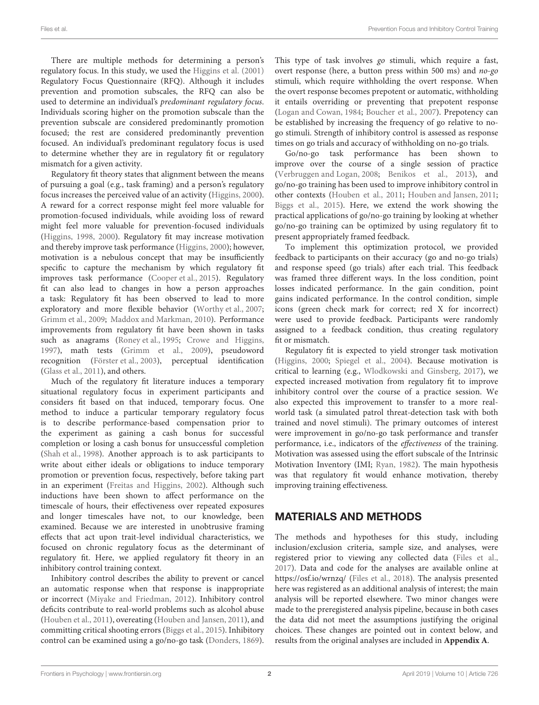There are multiple methods for determining a person's regulatory focus. In this study, we used the [Higgins et al.](#page-10-7) [\(2001\)](#page-10-7) Regulatory Focus Questionnaire (RFQ). Although it includes prevention and promotion subscales, the RFQ can also be used to determine an individual's predominant regulatory focus. Individuals scoring higher on the promotion subscale than the prevention subscale are considered predominantly promotion focused; the rest are considered predominantly prevention focused. An individual's predominant regulatory focus is used to determine whether they are in regulatory fit or regulatory mismatch for a given activity.

Regulatory fit theory states that alignment between the means of pursuing a goal (e.g., task framing) and a person's regulatory focus increases the perceived value of an activity [\(Higgins,](#page-10-5) [2000\)](#page-10-5). A reward for a correct response might feel more valuable for promotion-focused individuals, while avoiding loss of reward might feel more valuable for prevention-focused individuals [\(Higgins,](#page-10-4) [1998,](#page-10-4) [2000\)](#page-10-5). Regulatory fit may increase motivation and thereby improve task performance [\(Higgins,](#page-10-5) [2000\)](#page-10-5); however, motivation is a nebulous concept that may be insufficiently specific to capture the mechanism by which regulatory fit improves task performance [\(Cooper et al.,](#page-9-2) [2015\)](#page-9-2). Regulatory fit can also lead to changes in how a person approaches a task: Regulatory fit has been observed to lead to more exploratory and more flexible behavior [\(Worthy et al.,](#page-10-8) [2007;](#page-10-8) [Grimm et al.,](#page-10-9) [2009;](#page-10-9) [Maddox and Markman,](#page-10-10) [2010\)](#page-10-10). Performance improvements from regulatory fit have been shown in tasks such as anagrams [\(Roney et al.,](#page-10-11) [1995;](#page-10-11) [Crowe and Higgins,](#page-9-3) [1997\)](#page-9-3), math tests [\(Grimm et al.,](#page-10-9) [2009\)](#page-10-9), pseudoword recognition [\(Förster et al.,](#page-9-4) [2003\)](#page-9-4), perceptual identification [\(Glass et al.,](#page-9-5) [2011\)](#page-9-5), and others.

Much of the regulatory fit literature induces a temporary situational regulatory focus in experiment participants and considers fit based on that induced, temporary focus. One method to induce a particular temporary regulatory focus is to describe performance-based compensation prior to the experiment as gaining a cash bonus for successful completion or losing a cash bonus for unsuccessful completion [\(Shah et al.,](#page-10-12) [1998\)](#page-10-12). Another approach is to ask participants to write about either ideals or obligations to induce temporary promotion or prevention focus, respectively, before taking part in an experiment [\(Freitas and Higgins,](#page-9-6) [2002\)](#page-9-6). Although such inductions have been shown to affect performance on the timescale of hours, their effectiveness over repeated exposures and longer timescales have not, to our knowledge, been examined. Because we are interested in unobtrusive framing effects that act upon trait-level individual characteristics, we focused on chronic regulatory focus as the determinant of regulatory fit. Here, we applied regulatory fit theory in an inhibitory control training context.

Inhibitory control describes the ability to prevent or cancel an automatic response when that response is inappropriate or incorrect [\(Miyake and Friedman,](#page-10-13) [2012\)](#page-10-13). Inhibitory control deficits contribute to real-world problems such as alcohol abuse [\(Houben et al.,](#page-10-14) [2011\)](#page-10-14), overeating [\(Houben and Jansen,](#page-10-15) [2011\)](#page-10-15), and committing critical shooting errors [\(Biggs et al.,](#page-9-7) [2015\)](#page-9-7). Inhibitory control can be examined using a go/no-go task [\(Donders,](#page-9-8) [1869\)](#page-9-8).

This type of task involves go stimuli, which require a fast, overt response (here, a button press within 500 ms) and no-go stimuli, which require withholding the overt response. When the overt response becomes prepotent or automatic, withholding it entails overriding or preventing that prepotent response [\(Logan and Cowan,](#page-10-16) [1984;](#page-10-16) [Boucher et al.,](#page-9-9) [2007\)](#page-9-9). Prepotency can be established by increasing the frequency of go relative to nogo stimuli. Strength of inhibitory control is assessed as response times on go trials and accuracy of withholding on no-go trials.

Go/no-go task performance has been shown to improve over the course of a single session of practice [\(Verbruggen and Logan,](#page-10-17) [2008;](#page-10-17) [Benikos et al.,](#page-9-10) [2013\)](#page-9-10), and go/no-go training has been used to improve inhibitory control in other contexts [\(Houben et al.,](#page-10-14) [2011;](#page-10-14) [Houben and Jansen,](#page-10-15) [2011;](#page-10-15) [Biggs et al.,](#page-9-7) [2015\)](#page-9-7). Here, we extend the work showing the practical applications of go/no-go training by looking at whether go/no-go training can be optimized by using regulatory fit to present appropriately framed feedback.

To implement this optimization protocol, we provided feedback to participants on their accuracy (go and no-go trials) and response speed (go trials) after each trial. This feedback was framed three different ways. In the loss condition, point losses indicated performance. In the gain condition, point gains indicated performance. In the control condition, simple icons (green check mark for correct; red X for incorrect) were used to provide feedback. Participants were randomly assigned to a feedback condition, thus creating regulatory fit or mismatch.

Regulatory fit is expected to yield stronger task motivation [\(Higgins,](#page-10-5) [2000;](#page-10-5) [Spiegel et al.,](#page-10-18) [2004\)](#page-10-18). Because motivation is critical to learning (e.g., [Wlodkowski and Ginsberg,](#page-10-19) [2017\)](#page-10-19), we expected increased motivation from regulatory fit to improve inhibitory control over the course of a practice session. We also expected this improvement to transfer to a more realworld task (a simulated patrol threat-detection task with both trained and novel stimuli). The primary outcomes of interest were improvement in go/no-go task performance and transfer performance, i.e., indicators of the effectiveness of the training. Motivation was assessed using the effort subscale of the Intrinsic Motivation Inventory (IMI; [Ryan,](#page-10-20) [1982\)](#page-10-20). The main hypothesis was that regulatory fit would enhance motivation, thereby improving training effectiveness.

## MATERIALS AND METHODS

The methods and hypotheses for this study, including inclusion/exclusion criteria, sample size, and analyses, were registered prior to viewing any collected data [\(Files et al.,](#page-9-11) [2017\)](#page-9-11). Data and code for the analyses are available online at <https://osf.io/wrnzq/> [\(Files et al.,](#page-9-12) [2018\)](#page-9-12). The analysis presented here was registered as an additional analysis of interest; the main analysis will be reported elsewhere. Two minor changes were made to the preregistered analysis pipeline, because in both cases the data did not meet the assumptions justifying the original choices. These changes are pointed out in context below, and results from the original analyses are included in **[Appendix A](#page-9-13)**.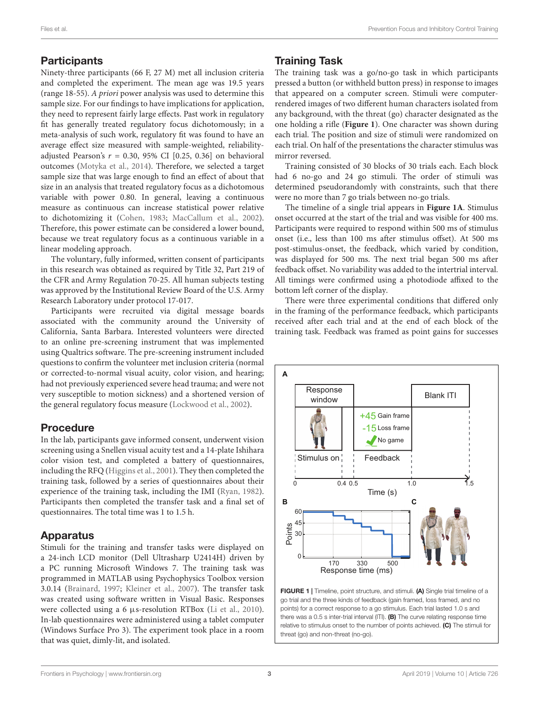## **Participants**

Ninety-three participants (66 F, 27 M) met all inclusion criteria and completed the experiment. The mean age was 19.5 years (range 18-55). A priori power analysis was used to determine this sample size. For our findings to have implications for application, they need to represent fairly large effects. Past work in regulatory fit has generally treated regulatory focus dichotomously; in a meta-analysis of such work, regulatory fit was found to have an average effect size measured with sample-weighted, reliabilityadjusted Pearson's  $r = 0.30, 95\%$  CI [0.25, 0.36] on behavioral outcomes [\(Motyka et al.,](#page-10-21) [2014\)](#page-10-21). Therefore, we selected a target sample size that was large enough to find an effect of about that size in an analysis that treated regulatory focus as a dichotomous variable with power 0.80. In general, leaving a continuous measure as continuous can increase statistical power relative to dichotomizing it [\(Cohen,](#page-9-14) [1983;](#page-9-14) [MacCallum et al.,](#page-10-22) [2002\)](#page-10-22). Therefore, this power estimate can be considered a lower bound, because we treat regulatory focus as a continuous variable in a linear modeling approach.

The voluntary, fully informed, written consent of participants in this research was obtained as required by Title 32, Part 219 of the CFR and Army Regulation 70-25. All human subjects testing was approved by the Institutional Review Board of the U.S. Army Research Laboratory under protocol 17-017.

Participants were recruited via digital message boards associated with the community around the University of California, Santa Barbara. Interested volunteers were directed to an online pre-screening instrument that was implemented using Qualtrics software. The pre-screening instrument included questions to confirm the volunteer met inclusion criteria (normal or corrected-to-normal visual acuity, color vision, and hearing; had not previously experienced severe head trauma; and were not very susceptible to motion sickness) and a shortened version of the general regulatory focus measure [\(Lockwood et al.,](#page-10-23) [2002\)](#page-10-23).

# Procedure

In the lab, participants gave informed consent, underwent vision screening using a Snellen visual acuity test and a 14-plate Ishihara color vision test, and completed a battery of questionnaires, including the RFQ [\(Higgins et al.,](#page-10-7) [2001\)](#page-10-7). They then completed the training task, followed by a series of questionnaires about their experience of the training task, including the IMI [\(Ryan,](#page-10-20) [1982\)](#page-10-20). Participants then completed the transfer task and a final set of questionnaires. The total time was 1 to 1.5 h.

# Apparatus

Stimuli for the training and transfer tasks were displayed on a 24-inch LCD monitor (Dell Ultrasharp U2414H) driven by a PC running Microsoft Windows 7. The training task was programmed in MATLAB using Psychophysics Toolbox version 3.0.14 [\(Brainard,](#page-9-15) [1997;](#page-9-15) [Kleiner et al.,](#page-10-24) [2007\)](#page-10-24). The transfer task was created using software written in Visual Basic. Responses were collected using a 6 µs-resolution RTBox [\(Li et al.,](#page-10-25) [2010\)](#page-10-25). In-lab questionnaires were administered using a tablet computer (Windows Surface Pro 3). The experiment took place in a room that was quiet, dimly-lit, and isolated.

# Training Task

The training task was a go/no-go task in which participants pressed a button (or withheld button press) in response to images that appeared on a computer screen. Stimuli were computerrendered images of two different human characters isolated from any background, with the threat (go) character designated as the one holding a rifle (**[Figure 1](#page-2-0)**). One character was shown during each trial. The position and size of stimuli were randomized on each trial. On half of the presentations the character stimulus was mirror reversed.

Training consisted of 30 blocks of 30 trials each. Each block had 6 no-go and 24 go stimuli. The order of stimuli was determined pseudorandomly with constraints, such that there were no more than 7 go trials between no-go trials.

The timeline of a single trial appears in **[Figure 1A](#page-2-0)**. Stimulus onset occurred at the start of the trial and was visible for 400 ms. Participants were required to respond within 500 ms of stimulus onset (i.e., less than 100 ms after stimulus offset). At 500 ms post-stimulus-onset, the feedback, which varied by condition, was displayed for 500 ms. The next trial began 500 ms after feedback offset. No variability was added to the intertrial interval. All timings were confirmed using a photodiode affixed to the bottom left corner of the display.

There were three experimental conditions that differed only in the framing of the performance feedback, which participants received after each trial and at the end of each block of the training task. Feedback was framed as point gains for successes

<span id="page-2-0"></span>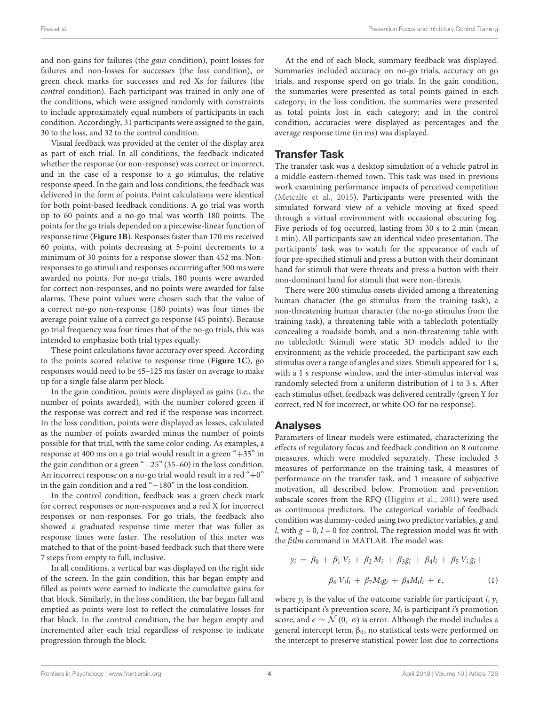and non-gains for failures (the gain condition), point losses for failures and non-losses for successes (the loss condition), or green check marks for successes and red Xs for failures (the control condition). Each participant was trained in only one of the conditions, which were assigned randomly with constraints to include approximately equal numbers of participants in each condition. Accordingly, 31 participants were assigned to the gain, 30 to the loss, and 32 to the control condition.

Visual feedback was provided at the center of the display area as part of each trial. In all conditions, the feedback indicated whether the response (or non-response) was correct or incorrect, and in the case of a response to a go stimulus, the relative response speed. In the gain and loss conditions, the feedback was delivered in the form of points. Point calculations were identical for both point-based feedback conditions. A go trial was worth up to 60 points and a no-go trial was worth 180 points. The points for the go trials depended on a piecewise-linear function of response time (**[Figure 1B](#page-2-0)**). Responses faster than 170 ms received 60 points, with points decreasing at 5-point decrements to a minimum of 30 points for a response slower than 452 ms. Nonresponses to go stimuli and responses occurring after 500 ms were awarded no points. For no-go trials, 180 points were awarded for correct non-responses, and no points were awarded for false alarms. These point values were chosen such that the value of a correct no-go non-response (180 points) was four times the average point value of a correct go response (45 points). Because go trial frequency was four times that of the no-go trials, this was intended to emphasize both trial types equally.

These point calculations favor accuracy over speed. According to the points scored relative to response time (**[Figure 1C](#page-2-0)**), go responses would need to be 45–125 ms faster on average to make up for a single false alarm per block.

In the gain condition, points were displayed as gains (i.e., the number of points awarded), with the number colored green if the response was correct and red if the response was incorrect. In the loss condition, points were displayed as losses, calculated as the number of points awarded minus the number of points possible for that trial, with the same color coding. As examples, a response at 400 ms on a go trial would result in a green "+35" in the gain condition or a green "−25" (35–60) in the loss condition. An incorrect response on a no-go trial would result in a red " $+0$ " in the gain condition and a red "−180" in the loss condition.

In the control condition, feedback was a green check mark for correct responses or non-responses and a red X for incorrect responses or non-responses. For go trials, the feedback also showed a graduated response time meter that was fuller as response times were faster. The resolution of this meter was matched to that of the point-based feedback such that there were 7 steps from empty to full, inclusive.

In all conditions, a vertical bar was displayed on the right side of the screen. In the gain condition, this bar began empty and filled as points were earned to indicate the cumulative gains for that block. Similarly, in the loss condition, the bar began full and emptied as points were lost to reflect the cumulative losses for that block. In the control condition, the bar began empty and incremented after each trial regardless of response to indicate progression through the block.

At the end of each block, summary feedback was displayed. Summaries included accuracy on no-go trials, accuracy on go trials, and response speed on go trials. In the gain condition, the summaries were presented as total points gained in each category; in the loss condition, the summaries were presented as total points lost in each category; and in the control condition, accuracies were displayed as percentages and the average response time (in ms) was displayed.

## Transfer Task

The transfer task was a desktop simulation of a vehicle patrol in a middle-eastern-themed town. This task was used in previous work examining performance impacts of perceived competition [\(Metcalfe et al.,](#page-10-26) [2015\)](#page-10-26). Participants were presented with the simulated forward view of a vehicle moving at fixed speed through a virtual environment with occasional obscuring fog. Five periods of fog occurred, lasting from 30 s to 2 min (mean 1 min). All participants saw an identical video presentation. The participants' task was to watch for the appearance of each of four pre-specified stimuli and press a button with their dominant hand for stimuli that were threats and press a button with their non-dominant hand for stimuli that were non-threats.

There were 200 stimulus onsets divided among a threatening human character (the go stimulus from the training task), a non-threatening human character (the no-go stimulus from the training task), a threatening table with a tablecloth potentially concealing a roadside bomb, and a non-threatening table with no tablecloth. Stimuli were static 3D models added to the environment; as the vehicle proceeded, the participant saw each stimulus over a range of angles and sizes. Stimuli appeared for 1 s, with a 1 s response window, and the inter-stimulus interval was randomly selected from a uniform distribution of 1 to 3 s. After each stimulus offset, feedback was delivered centrally (green Y for correct, red N for incorrect, or white OO for no response).

#### Analyses

Parameters of linear models were estimated, characterizing the effects of regulatory focus and feedback condition on 8 outcome measures, which were modeled separately. These included 3 measures of performance on the training task, 4 measures of performance on the transfer task, and 1 measure of subjective motivation, all described below. Promotion and prevention subscale scores from the RFQ [\(Higgins et al.,](#page-10-7) [2001\)](#page-10-7) were used as continuous predictors. The categorical variable of feedback condition was dummy-coded using two predictor variables, g and *l*, with  $g = 0$ ,  $l = 0$  for control. The regression model was fit with the fitlm command in MATLAB. The model was:

$$
y_i = \beta_0 + \beta_1 V_i + \beta_2 M_i + \beta_3 g_i + \beta_4 l_i + \beta_5 V_i g_i +
$$
  

$$
\beta_6 V_i l_i + \beta_7 M_i g_i + \beta_8 M_i l_i + \epsilon,
$$
 (1)

where  $y_i$  is the value of the outcome variable for participant *i*,  $y_i$ is participant i's prevention score,  $M_i$  is participant i's promotion score, and  $\epsilon \sim \mathcal{N}(0, \sigma)$  is error. Although the model includes a general intercept term,  $β_0$ , no statistical tests were performed on the intercept to preserve statistical power lost due to corrections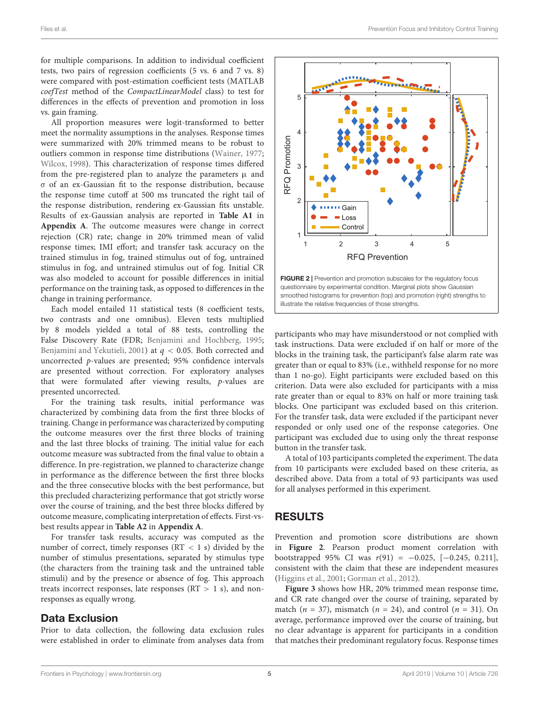for multiple comparisons. In addition to individual coefficient tests, two pairs of regression coefficients (5 vs. 6 and 7 vs. 8) were compared with post-estimation coefficient tests (MATLAB coefTest method of the CompactLinearModel class) to test for differences in the effects of prevention and promotion in loss vs. gain framing.

All proportion measures were logit-transformed to better meet the normality assumptions in the analyses. Response times were summarized with 20% trimmed means to be robust to outliers common in response time distributions [\(Wainer,](#page-10-27) [1977;](#page-10-27) [Wilcox,](#page-10-28) [1998\)](#page-10-28). This characterization of response times differed from the pre-registered plan to analyze the parameters  $\mu$  and σ of an ex-Gaussian fit to the response distribution, because the response time cutoff at 500 ms truncated the right tail of the response distribution, rendering ex-Gaussian fits unstable. Results of ex-Gaussian analysis are reported in **[Table A1](#page-9-13)** in **[Appendix A](#page-9-13)**. The outcome measures were change in correct rejection (CR) rate; change in 20% trimmed mean of valid response times; IMI effort; and transfer task accuracy on the trained stimulus in fog, trained stimulus out of fog, untrained stimulus in fog, and untrained stimulus out of fog. Initial CR was also modeled to account for possible differences in initial performance on the training task, as opposed to differences in the change in training performance.

Each model entailed 11 statistical tests (8 coefficient tests, two contrasts and one omnibus). Eleven tests multiplied by 8 models yielded a total of 88 tests, controlling the False Discovery Rate (FDR; [Benjamini and Hochberg,](#page-9-16) [1995;](#page-9-16) [Benjamini and Yekutieli,](#page-9-17) [2001\)](#page-9-17) at  $q < 0.05$ . Both corrected and uncorrected p-values are presented; 95% confidence intervals are presented without correction. For exploratory analyses that were formulated after viewing results, p-values are presented uncorrected.

For the training task results, initial performance was characterized by combining data from the first three blocks of training. Change in performance was characterized by computing the outcome measures over the first three blocks of training and the last three blocks of training. The initial value for each outcome measure was subtracted from the final value to obtain a difference. In pre-registration, we planned to characterize change in performance as the difference between the first three blocks and the three consecutive blocks with the best performance, but this precluded characterizing performance that got strictly worse over the course of training, and the best three blocks differed by outcome measure, complicating interpretation of effects. First-vsbest results appear in **[Table A2](#page-9-13)** in **[Appendix A](#page-9-13)**.

For transfer task results, accuracy was computed as the number of correct, timely responses ( $RT < 1$  s) divided by the number of stimulus presentations, separated by stimulus type (the characters from the training task and the untrained table stimuli) and by the presence or absence of fog. This approach treats incorrect responses, late responses ( $RT > 1$  s), and nonresponses as equally wrong.

## Data Exclusion

Prior to data collection, the following data exclusion rules were established in order to eliminate from analyses data from



<span id="page-4-0"></span>participants who may have misunderstood or not complied with task instructions. Data were excluded if on half or more of the blocks in the training task, the participant's false alarm rate was greater than or equal to 83% (i.e., withheld response for no more than 1 no-go). Eight participants were excluded based on this criterion. Data were also excluded for participants with a miss rate greater than or equal to 83% on half or more training task blocks. One participant was excluded based on this criterion. For the transfer task, data were excluded if the participant never responded or only used one of the response categories. One participant was excluded due to using only the threat response button in the transfer task.

A total of 103 participants completed the experiment. The data from 10 participants were excluded based on these criteria, as described above. Data from a total of 93 participants was used for all analyses performed in this experiment.

# RESULTS

Prevention and promotion score distributions are shown in **[Figure 2](#page-4-0)**. Pearson product moment correlation with bootstrapped 95% CI was  $r(91) = -0.025$ ,  $[-0.245, 0.211]$ , consistent with the claim that these are independent measures [\(Higgins et al.,](#page-10-7) [2001;](#page-10-7) [Gorman et al.,](#page-10-29) [2012\)](#page-10-29).

**[Figure 3](#page-5-0)** shows how HR, 20% trimmed mean response time, and CR rate changed over the course of training, separated by match ( $n = 37$ ), mismatch ( $n = 24$ ), and control ( $n = 31$ ). On average, performance improved over the course of training, but no clear advantage is apparent for participants in a condition that matches their predominant regulatory focus. Response times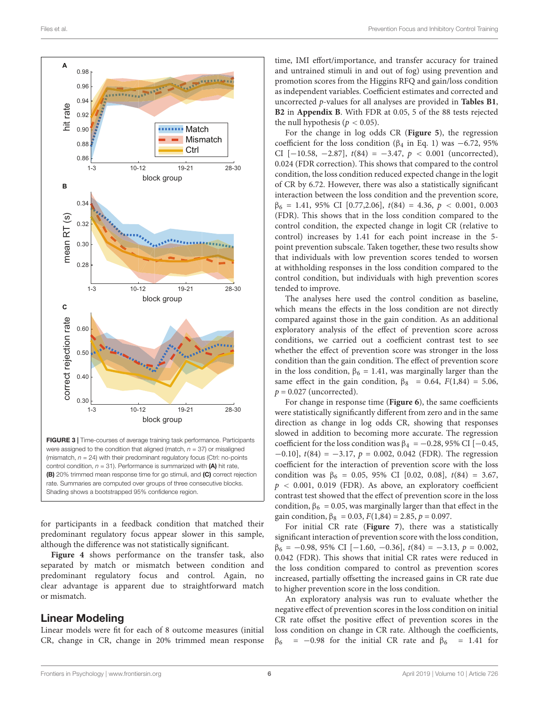

<span id="page-5-0"></span>for participants in a feedback condition that matched their

predominant regulatory focus appear slower in this sample, although the difference was not statistically significant. **[Figure 4](#page-6-0)** shows performance on the transfer task, also

separated by match or mismatch between condition and predominant regulatory focus and control. Again, no clear advantage is apparent due to straightforward match or mismatch.

## Linear Modeling

Linear models were fit for each of 8 outcome measures (initial CR, change in CR, change in 20% trimmed mean response time, IMI effort/importance, and transfer accuracy for trained and untrained stimuli in and out of fog) using prevention and promotion scores from the Higgins RFQ and gain/loss condition as independent variables. Coefficient estimates and corrected and uncorrected p-values for all analyses are provided in **[Tables B1](#page-9-13)**, **[B2](#page-9-13)** in **[Appendix B](#page-9-13)**. With FDR at 0.05, 5 of the 88 tests rejected the null hypothesis ( $p < 0.05$ ).

For the change in log odds CR (**[Figure 5](#page-6-1)**), the regression coefficient for the loss condition ( $\beta_4$  in Eq. 1) was −6.72, 95% CI [-10.58, -2.87],  $t(84) = -3.47$ ,  $p < 0.001$  (uncorrected), 0.024 (FDR correction). This shows that compared to the control condition, the loss condition reduced expected change in the logit of CR by 6.72. However, there was also a statistically significant interaction between the loss condition and the prevention score,  $\beta_6 = 1.41, 95\% \text{ CI} [0.77, 2.06], t(84) = 4.36, p < 0.001, 0.003$ (FDR). This shows that in the loss condition compared to the control condition, the expected change in logit CR (relative to control) increases by 1.41 for each point increase in the 5 point prevention subscale. Taken together, these two results show that individuals with low prevention scores tended to worsen at withholding responses in the loss condition compared to the control condition, but individuals with high prevention scores tended to improve.

The analyses here used the control condition as baseline, which means the effects in the loss condition are not directly compared against those in the gain condition. As an additional exploratory analysis of the effect of prevention score across conditions, we carried out a coefficient contrast test to see whether the effect of prevention score was stronger in the loss condition than the gain condition. The effect of prevention score in the loss condition,  $\beta_6 = 1.41$ , was marginally larger than the same effect in the gain condition,  $\beta_8$  = 0.64,  $F(1,84)$  = 5.06,  $p = 0.027$  (uncorrected).

For change in response time (**[Figure 6](#page-6-2)**), the same coefficients were statistically significantly different from zero and in the same direction as change in log odds CR, showing that responses slowed in addition to becoming more accurate. The regression coefficient for the loss condition was  $\beta_4 = -0.28$ , 95% CI [-0.45,  $-0.10$ ],  $t(84) = -3.17$ ,  $p = 0.002$ , 0.042 (FDR). The regression coefficient for the interaction of prevention score with the loss condition was  $\beta_6 = 0.05$ , 95% CI [0.02, 0.08],  $t(84) = 3.67$ ,  $p < 0.001$ , 0.019 (FDR). As above, an exploratory coefficient contrast test showed that the effect of prevention score in the loss condition,  $\beta_6 = 0.05$ , was marginally larger than that effect in the gain condition,  $\beta_8 = 0.03$ ,  $F(1,84) = 2.85$ ,  $p = 0.097$ .

For initial CR rate (**[Figure 7](#page-7-0)**), there was a statistically significant interaction of prevention score with the loss condition,  $\beta_6 = -0.98, 95\% \text{ CI} [-1.60, -0.36], t(84) = -3.13, p = 0.002,$ 0.042 (FDR). This shows that initial CR rates were reduced in the loss condition compared to control as prevention scores increased, partially offsetting the increased gains in CR rate due to higher prevention score in the loss condition.

An exploratory analysis was run to evaluate whether the negative effect of prevention scores in the loss condition on initial CR rate offset the positive effect of prevention scores in the loss condition on change in CR rate. Although the coefficients,  $β<sub>6</sub> = -0.98$  for the initial CR rate and  $β<sub>6</sub> = 1.41$  for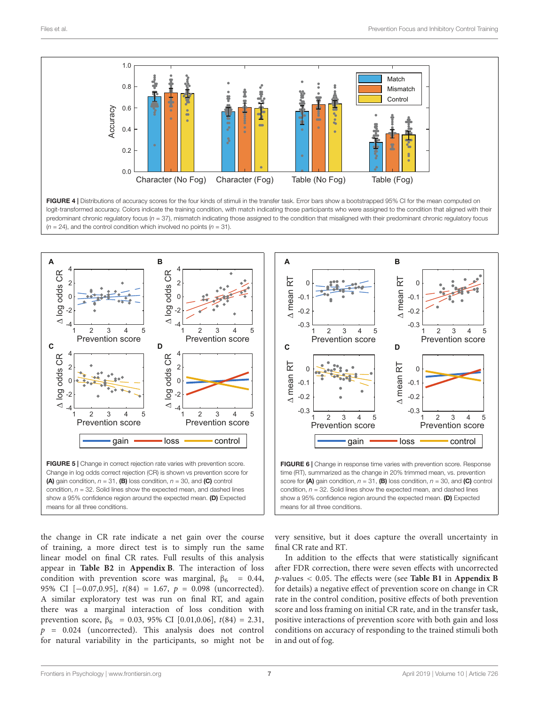

<span id="page-6-0"></span>



<span id="page-6-2"></span>

<span id="page-6-1"></span>the change in CR rate indicate a net gain over the course of training, a more direct test is to simply run the same linear model on final CR rates. Full results of this analysis appear in **[Table B2](#page-9-13)** in **[Appendix B](#page-9-13)**. The interaction of loss condition with prevention score was marginal,  $\beta_6 = 0.44$ , 95% CI [−0.07,0.95],  $t(84) = 1.67$ ,  $p = 0.098$  (uncorrected). A similar exploratory test was run on final RT, and again there was a marginal interaction of loss condition with prevention score,  $\beta_6 = 0.03$ , 95% CI [0.01,0.06],  $t(84) = 2.31$ ,  $p = 0.024$  (uncorrected). This analysis does not control for natural variability in the participants, so might not be

very sensitive, but it does capture the overall uncertainty in final CR rate and RT.

In addition to the effects that were statistically significant after FDR correction, there were seven effects with uncorrected p-values < 0.05. The effects were (see **[Table B1](#page-9-13)** in **[Appendix B](#page-9-13)** for details) a negative effect of prevention score on change in CR rate in the control condition, positive effects of both prevention score and loss framing on initial CR rate, and in the transfer task, positive interactions of prevention score with both gain and loss conditions on accuracy of responding to the trained stimuli both in and out of fog.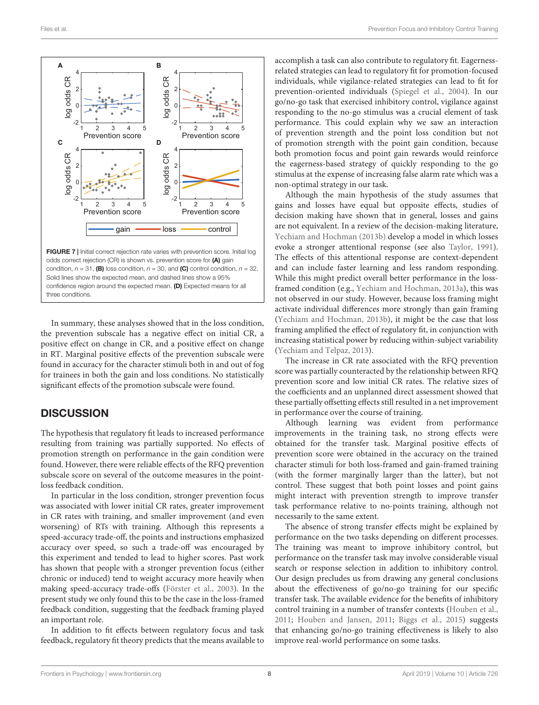

<span id="page-7-0"></span>odds correct rejection (CR) is shown vs. prevention score for (A) gain condition,  $n = 31$ , (B) loss condition,  $n = 30$ , and (C) control condition,  $n = 32$ . Solid lines show the expected mean, and dashed lines show a 95% confidence region around the expected mean. (D) Expected means for all three conditions.

In summary, these analyses showed that in the loss condition, the prevention subscale has a negative effect on initial CR, a positive effect on change in CR, and a positive effect on change in RT. Marginal positive effects of the prevention subscale were found in accuracy for the character stimuli both in and out of fog for trainees in both the gain and loss conditions. No statistically significant effects of the promotion subscale were found.

## **DISCUSSION**

The hypothesis that regulatory fit leads to increased performance resulting from training was partially supported. No effects of promotion strength on performance in the gain condition were found. However, there were reliable effects of the RFQ prevention subscale score on several of the outcome measures in the pointloss feedback condition.

In particular in the loss condition, stronger prevention focus was associated with lower initial CR rates, greater improvement in CR rates with training, and smaller improvement (and even worsening) of RTs with training. Although this represents a speed-accuracy trade-off, the points and instructions emphasized accuracy over speed, so such a trade-off was encouraged by this experiment and tended to lead to higher scores. Past work has shown that people with a stronger prevention focus (either chronic or induced) tend to weight accuracy more heavily when making speed-accuracy trade-offs [\(Förster et al.,](#page-9-4) [2003\)](#page-9-4). In the present study we only found this to be the case in the loss-framed feedback condition, suggesting that the feedback framing played an important role.

In addition to fit effects between regulatory focus and task feedback, regulatory fit theory predicts that the means available to

accomplish a task can also contribute to regulatory fit. Eagernessrelated strategies can lead to regulatory fit for promotion-focused individuals, while vigilance-related strategies can lead to fit for prevention-oriented individuals [\(Spiegel et al.,](#page-10-18) [2004\)](#page-10-18). In our go/no-go task that exercised inhibitory control, vigilance against responding to the no-go stimulus was a crucial element of task performance. This could explain why we saw an interaction of prevention strength and the point loss condition but not of promotion strength with the point gain condition, because both promotion focus and point gain rewards would reinforce the eagerness-based strategy of quickly responding to the go stimulus at the expense of increasing false alarm rate which was a non-optimal strategy in our task.

Although the main hypothesis of the study assumes that gains and losses have equal but opposite effects, studies of decision making have shown that in general, losses and gains are not equivalent. In a review of the decision-making literature, [Yechiam and Hochman](#page-10-30) [\(2013b\)](#page-10-30) develop a model in which losses evoke a stronger attentional response (see also [Taylor,](#page-10-31) [1991\)](#page-10-31). The effects of this attentional response are context-dependent and can include faster learning and less random responding. While this might predict overall better performance in the lossframed condition (e.g., [Yechiam and Hochman,](#page-10-32) [2013a\)](#page-10-32), this was not observed in our study. However, because loss framing might activate individual differences more strongly than gain framing [\(Yechiam and Hochman,](#page-10-30) [2013b\)](#page-10-30), it might be the case that loss framing amplified the effect of regulatory fit, in conjunction with increasing statistical power by reducing within-subject variability [\(Yechiam and Telpaz,](#page-10-33) [2013\)](#page-10-33).

The increase in CR rate associated with the RFQ prevention score was partially counteracted by the relationship between RFQ prevention score and low initial CR rates. The relative sizes of the coefficients and an unplanned direct assessment showed that these partially offsetting effects still resulted in a net improvement in performance over the course of training.

Although learning was evident from performance improvements in the training task, no strong effects were obtained for the transfer task. Marginal positive effects of prevention score were obtained in the accuracy on the trained character stimuli for both loss-framed and gain-framed training (with the former marginally larger than the latter), but not control. These suggest that both point losses and point gains might interact with prevention strength to improve transfer task performance relative to no-points training, although not necessarily to the same extent.

The absence of strong transfer effects might be explained by performance on the two tasks depending on different processes. The training was meant to improve inhibitory control, but performance on the transfer task may involve considerable visual search or response selection in addition to inhibitory control. Our design precludes us from drawing any general conclusions about the effectiveness of go/no-go training for our specific transfer task. The available evidence for the benefits of inhibitory control training in a number of transfer contexts [\(Houben et al.,](#page-10-14) [2011;](#page-10-14) [Houben and Jansen,](#page-10-15) [2011;](#page-10-15) [Biggs et al.,](#page-9-7) [2015\)](#page-9-7) suggests that enhancing go/no-go training effectiveness is likely to also improve real-world performance on some tasks.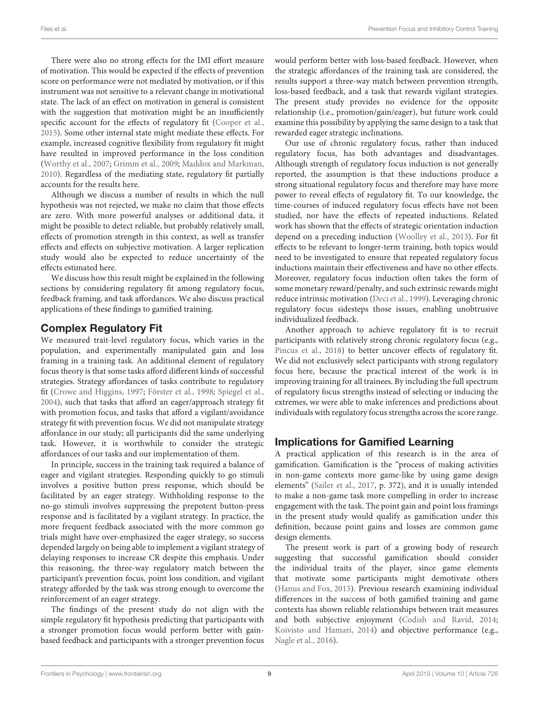There were also no strong effects for the IMI effort measure of motivation. This would be expected if the effects of prevention score on performance were not mediated by motivation, or if this instrument was not sensitive to a relevant change in motivational state. The lack of an effect on motivation in general is consistent with the suggestion that motivation might be an insufficiently specific account for the effects of regulatory fit [\(Cooper et al.,](#page-9-2) [2015\)](#page-9-2). Some other internal state might mediate these effects. For example, increased cognitive flexibility from regulatory fit might have resulted in improved performance in the loss condition [\(Worthy et al.,](#page-10-8) [2007;](#page-10-8) [Grimm et al.,](#page-10-9) [2009;](#page-10-9) [Maddox and Markman,](#page-10-10) [2010\)](#page-10-10). Regardless of the mediating state, regulatory fit partially accounts for the results here.

Although we discuss a number of results in which the null hypothesis was not rejected, we make no claim that those effects are zero. With more powerful analyses or additional data, it might be possible to detect reliable, but probably relatively small, effects of promotion strength in this context, as well as transfer effects and effects on subjective motivation. A larger replication study would also be expected to reduce uncertainty of the effects estimated here.

We discuss how this result might be explained in the following sections by considering regulatory fit among regulatory focus, feedback framing, and task affordances. We also discuss practical applications of these findings to gamified training.

## Complex Regulatory Fit

We measured trait-level regulatory focus, which varies in the population, and experimentally manipulated gain and loss framing in a training task. An additional element of regulatory focus theory is that some tasks afford different kinds of successful strategies. Strategy affordances of tasks contribute to regulatory fit [\(Crowe and Higgins,](#page-9-3) [1997;](#page-9-3) [Förster et al.,](#page-9-18) [1998;](#page-9-18) [Spiegel et al.,](#page-10-18) [2004\)](#page-10-18), such that tasks that afford an eager/approach strategy fit with promotion focus, and tasks that afford a vigilant/avoidance strategy fit with prevention focus. We did not manipulate strategy affordance in our study; all participants did the same underlying task. However, it is worthwhile to consider the strategic affordances of our tasks and our implementation of them.

In principle, success in the training task required a balance of eager and vigilant strategies. Responding quickly to go stimuli involves a positive button press response, which should be facilitated by an eager strategy. Withholding response to the no-go stimuli involves suppressing the prepotent button-press response and is facilitated by a vigilant strategy. In practice, the more frequent feedback associated with the more common go trials might have over-emphasized the eager strategy, so success depended largely on being able to implement a vigilant strategy of delaying responses to increase CR despite this emphasis. Under this reasoning, the three-way regulatory match between the participant's prevention focus, point loss condition, and vigilant strategy afforded by the task was strong enough to overcome the reinforcement of an eager strategy.

The findings of the present study do not align with the simple regulatory fit hypothesis predicting that participants with a stronger promotion focus would perform better with gainbased feedback and participants with a stronger prevention focus would perform better with loss-based feedback. However, when the strategic affordances of the training task are considered, the results support a three-way match between prevention strength, loss-based feedback, and a task that rewards vigilant strategies. The present study provides no evidence for the opposite relationship (i.e., promotion/gain/eager), but future work could examine this possibility by applying the same design to a task that rewarded eager strategic inclinations.

Our use of chronic regulatory focus, rather than induced regulatory focus, has both advantages and disadvantages. Although strength of regulatory focus induction is not generally reported, the assumption is that these inductions produce a strong situational regulatory focus and therefore may have more power to reveal effects of regulatory fit. To our knowledge, the time-courses of induced regulatory focus effects have not been studied, nor have the effects of repeated inductions. Related work has shown that the effects of strategic orientation induction depend on a preceding induction [\(Woolley et al.,](#page-10-34) [2013\)](#page-10-34). For fit effects to be relevant to longer-term training, both topics would need to be investigated to ensure that repeated regulatory focus inductions maintain their effectiveness and have no other effects. Moreover, regulatory focus induction often takes the form of some monetary reward/penalty, and such extrinsic rewards might reduce intrinsic motivation [\(Deci et al.,](#page-9-19) [1999\)](#page-9-19). Leveraging chronic regulatory focus sidesteps those issues, enabling unobtrusive individualized feedback.

Another approach to achieve regulatory fit is to recruit participants with relatively strong chronic regulatory focus (e.g., [Pincus et al.,](#page-10-35) [2018\)](#page-10-35) to better uncover effects of regulatory fit. We did not exclusively select participants with strong regulatory focus here, because the practical interest of the work is in improving training for all trainees. By including the full spectrum of regulatory focus strengths instead of selecting or inducing the extremes, we were able to make inferences and predictions about individuals with regulatory focus strengths across the score range.

## Implications for Gamified Learning

A practical application of this research is in the area of gamification. Gamification is the "process of making activities in non-game contexts more game-like by using game design elements" [\(Sailer et al.,](#page-10-36) [2017,](#page-10-36) p. 372), and it is usually intended to make a non-game task more compelling in order to increase engagement with the task. The point gain and point loss framings in the present study would qualify as gamification under this definition, because point gains and losses are common game design elements.

The present work is part of a growing body of research suggesting that successful gamification should consider the individual traits of the player, since game elements that motivate some participants might demotivate others [\(Hanus and Fox,](#page-10-37) [2015\)](#page-10-37). Previous research examining individual differences in the success of both gamified training and game contexts has shown reliable relationships between trait measures and both subjective enjoyment [\(Codish and Ravid,](#page-9-20) [2014;](#page-9-20) [Koivisto and Hamari,](#page-10-38) [2014\)](#page-10-38) and objective performance (e.g., [Nagle et al.,](#page-10-39) [2016\)](#page-10-39).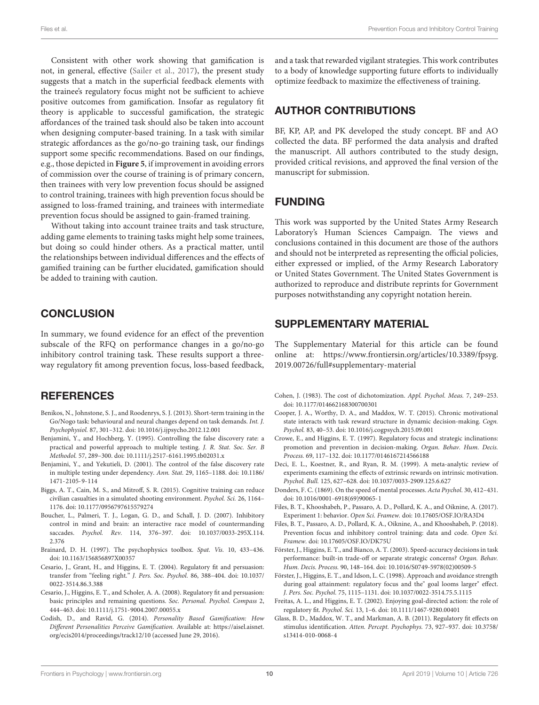Consistent with other work showing that gamification is not, in general, effective [\(Sailer et al.,](#page-10-36) [2017\)](#page-10-36), the present study suggests that a match in the superficial feedback elements with the trainee's regulatory focus might not be sufficient to achieve positive outcomes from gamification. Insofar as regulatory fit theory is applicable to successful gamification, the strategic affordances of the trained task should also be taken into account when designing computer-based training. In a task with similar strategic affordances as the go/no-go training task, our findings support some specific recommendations. Based on our findings, e.g., those depicted in **[Figure 5](#page-6-1)**, if improvement in avoiding errors of commission over the course of training is of primary concern, then trainees with very low prevention focus should be assigned to control training, trainees with high prevention focus should be assigned to loss-framed training, and trainees with intermediate prevention focus should be assigned to gain-framed training.

Without taking into account trainee traits and task structure, adding game elements to training tasks might help some trainees, but doing so could hinder others. As a practical matter, until the relationships between individual differences and the effects of gamified training can be further elucidated, gamification should be added to training with caution.

## **CONCLUSION**

In summary, we found evidence for an effect of the prevention subscale of the RFQ on performance changes in a go/no-go inhibitory control training task. These results support a threeway regulatory fit among prevention focus, loss-based feedback,

## **REFERENCES**

- <span id="page-9-10"></span>Benikos, N., Johnstone, S. J., and Roodenrys, S. J. (2013). Short-term training in the Go/Nogo task: behavioural and neural changes depend on task demands. Int. J. Psychophysiol. 87, 301–312. [doi: 10.1016/j.ijpsycho.2012.12.001](https://doi.org/10.1016/j.ijpsycho.2012.12.001)
- <span id="page-9-16"></span>Benjamini, Y., and Hochberg, Y. (1995). Controlling the false discovery rate: a practical and powerful approach to multiple testing. J. R. Stat. Soc. Ser. B Methodol. 57, 289–300. [doi: 10.1111/j.2517-6161.1995.tb02031.x](https://doi.org/10.1111/j.2517-6161.1995.tb02031.x)
- <span id="page-9-17"></span>Benjamini, Y., and Yekutieli, D. (2001). The control of the false discovery rate in multiple testing under dependency. Ann. Stat. 29, 1165–1188. [doi: 10.1186/](https://doi.org/10.1186/1471-2105-9-114) [1471-2105-9-114](https://doi.org/10.1186/1471-2105-9-114)
- <span id="page-9-7"></span>Biggs, A. T., Cain, M. S., and Mitroff, S. R. (2015). Cognitive training can reduce civilian casualties in a simulated shooting environment. Psychol. Sci. 26, 1164– 1176. [doi: 10.1177/0956797615579274](https://doi.org/10.1177/0956797615579274)
- <span id="page-9-9"></span>Boucher, L., Palmeri, T. J., Logan, G. D., and Schall, J. D. (2007). Inhibitory control in mind and brain: an interactive race model of countermanding saccades. Psychol. Rev. 114, 376–397. [doi: 10.1037/0033-295X.114.](https://doi.org/10.1037/0033-295X.114.2.376) [2.376](https://doi.org/10.1037/0033-295X.114.2.376)
- <span id="page-9-15"></span>Brainard, D. H. (1997). The psychophysics toolbox. Spat. Vis. 10, 433–436. [doi: 10.1163/156856897X00357](https://doi.org/10.1163/156856897X00357)
- <span id="page-9-0"></span>Cesario, J., Grant, H., and Higgins, E. T. (2004). Regulatory fit and persuasion: transfer from "feeling right." J. Pers. Soc. Psychol. 86, 388–404. [doi: 10.1037/](https://doi.org/10.1037/0022-3514.86.3.388) [0022-3514.86.3.388](https://doi.org/10.1037/0022-3514.86.3.388)
- <span id="page-9-1"></span>Cesario, J., Higgins, E. T., and Scholer, A. A. (2008). Regulatory fit and persuasion: basic principles and remaining questions. Soc. Personal. Psychol. Compass 2, 444–463. [doi: 10.1111/j.1751-9004.2007.00055.x](https://doi.org/10.1111/j.1751-9004.2007.00055.x)
- <span id="page-9-20"></span>Codish, D., and Ravid, G. (2014). Personality Based Gamification: How Different Personalities Perceive Gamification. Available at: [https://aisel.aisnet.](https://aisel.aisnet.org/ecis2014/proceedings/track12/10) [org/ecis2014/proceedings/track12/10](https://aisel.aisnet.org/ecis2014/proceedings/track12/10) (accessed June 29, 2016).

and a task that rewarded vigilant strategies. This work contributes to a body of knowledge supporting future efforts to individually optimize feedback to maximize the effectiveness of training.

## AUTHOR CONTRIBUTIONS

BF, KP, AP, and PK developed the study concept. BF and AO collected the data. BF performed the data analysis and drafted the manuscript. All authors contributed to the study design, provided critical revisions, and approved the final version of the manuscript for submission.

# FUNDING

This work was supported by the United States Army Research Laboratory's Human Sciences Campaign. The views and conclusions contained in this document are those of the authors and should not be interpreted as representing the official policies, either expressed or implied, of the Army Research Laboratory or United States Government. The United States Government is authorized to reproduce and distribute reprints for Government purposes notwithstanding any copyright notation herein.

## <span id="page-9-13"></span>SUPPLEMENTARY MATERIAL

The Supplementary Material for this article can be found online at: [https://www.frontiersin.org/articles/10.3389/fpsyg.](https://www.frontiersin.org/articles/10.3389/fpsyg.2019.00726/full#supplementary-material) [2019.00726/full#supplementary-material](https://www.frontiersin.org/articles/10.3389/fpsyg.2019.00726/full#supplementary-material)

- <span id="page-9-14"></span>Cohen, J. (1983). The cost of dichotomization. Appl. Psychol. Meas. 7, 249–253. [doi: 10.1177/014662168300700301](https://doi.org/10.1177/014662168300700301)
- <span id="page-9-2"></span>Cooper, J. A., Worthy, D. A., and Maddox, W. T. (2015). Chronic motivational state interacts with task reward structure in dynamic decision-making. Cogn. Psychol. 83, 40–53. [doi: 10.1016/j.cogpsych.2015.09.001](https://doi.org/10.1016/j.cogpsych.2015.09.001)
- <span id="page-9-3"></span>Crowe, E., and Higgins, E. T. (1997). Regulatory focus and strategic inclinations: promotion and prevention in decision-making. Organ. Behav. Hum. Decis. Process. 69, 117–132. [doi: 10.1177/0146167214566188](https://doi.org/10.1177/0146167214566188)
- <span id="page-9-19"></span>Deci, E. L., Koestner, R., and Ryan, R. M. (1999). A meta-analytic review of experiments examining the effects of extrinsic rewards on intrinsic motivation. Psychol. Bull. 125, 627–628. [doi: 10.1037/0033-2909.125.6.627](https://doi.org/10.1037/0033-2909.125.6.627)
- <span id="page-9-8"></span>Donders, F. C. (1869). On the speed of mental processes. Acta Psychol. 30, 412–431. [doi: 10.1016/0001-6918\(69\)90065-1](https://doi.org/10.1016/0001-6918(69)90065-1)
- <span id="page-9-11"></span>Files, B. T., Khooshabeh, P., Passaro, A. D., Pollard, K. A., and Oiknine, A. (2017). Experiment 1: behavior. Open Sci. Framew. [doi: 10.17605/OSF.IO/RA3D4](https://doi.org/10.17605/OSF.IO/RA3D4)
- <span id="page-9-12"></span>Files, B. T., Passaro, A. D., Pollard, K. A., Oiknine, A., and Khooshabeh, P. (2018). Prevention focus and inhibitory control training: data and code. Open Sci. Framew. [doi: 10.17605/OSF.IO/DK75U](https://doi.org/10.17605/OSF.IO/DK75U)
- <span id="page-9-4"></span>Förster, J., Higgins, E. T., and Bianco, A. T. (2003). Speed-accuracy decisions in task performance: built-in trade-off or separate strategic concerns? Organ. Behav. Hum. Decis. Process. 90, 148–164. [doi: 10.1016/S0749-5978\(02\)00509-5](https://doi.org/10.1016/S0749-5978(02)00509-5)
- <span id="page-9-18"></span>Förster, J., Higgins, E. T., and Idson, L. C. (1998). Approach and avoidance strength during goal attainment: regulatory focus and the" goal looms larger" effect. J. Pers. Soc. Psychol. 75, 1115–1131. [doi: 10.1037/0022-3514.75.5.1115](https://doi.org/10.1037/0022-3514.75.5.1115)
- <span id="page-9-6"></span>Freitas, A. L., and Higgins, E. T. (2002). Enjoying goal-directed action: the role of regulatory fit. Psychol. Sci. 13, 1–6. [doi: 10.1111/1467-9280.00401](https://doi.org/10.1111/1467-9280.00401)
- <span id="page-9-5"></span>Glass, B. D., Maddox, W. T., and Markman, A. B. (2011). Regulatory fit effects on stimulus identification. Atten. Percept. Psychophys. 73, 927–937. [doi: 10.3758/](https://doi.org/10.3758/s13414-010-0068-4) [s13414-010-0068-4](https://doi.org/10.3758/s13414-010-0068-4)